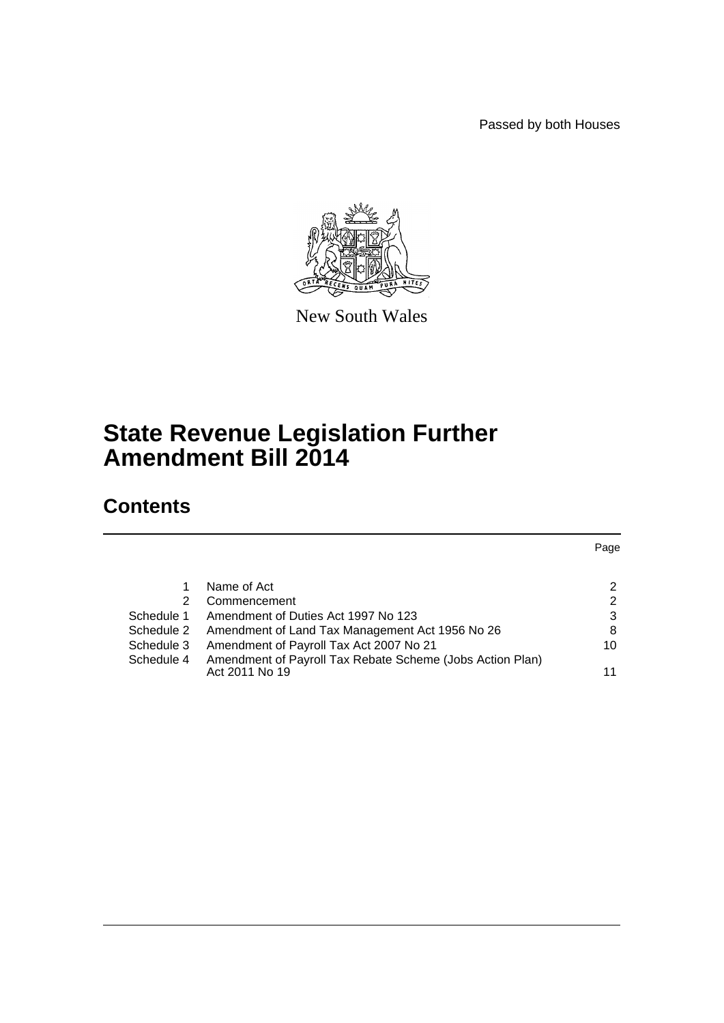Passed by both Houses



New South Wales

# **State Revenue Legislation Further Amendment Bill 2014**

# **Contents**

|            |                                                                             | Page |
|------------|-----------------------------------------------------------------------------|------|
|            |                                                                             |      |
|            | Name of Act                                                                 | 2    |
| 2          | Commencement                                                                | 2    |
| Schedule 1 | Amendment of Duties Act 1997 No 123                                         | 3    |
| Schedule 2 | Amendment of Land Tax Management Act 1956 No 26                             | 8    |
| Schedule 3 | Amendment of Payroll Tax Act 2007 No 21                                     | 10   |
| Schedule 4 | Amendment of Payroll Tax Rebate Scheme (Jobs Action Plan)<br>Act 2011 No 19 | 11   |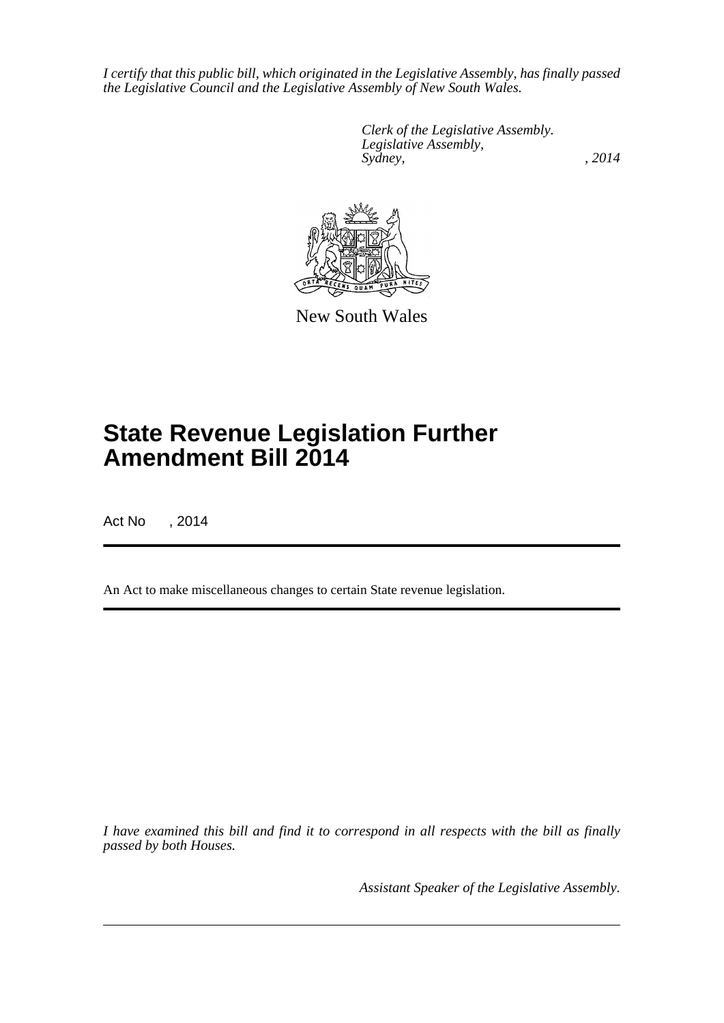*I certify that this public bill, which originated in the Legislative Assembly, has finally passed the Legislative Council and the Legislative Assembly of New South Wales.*

> *Clerk of the Legislative Assembly. Legislative Assembly, Sydney,* , 2014



New South Wales

# **State Revenue Legislation Further Amendment Bill 2014**

Act No , 2014

An Act to make miscellaneous changes to certain State revenue legislation.

*I have examined this bill and find it to correspond in all respects with the bill as finally passed by both Houses.*

*Assistant Speaker of the Legislative Assembly.*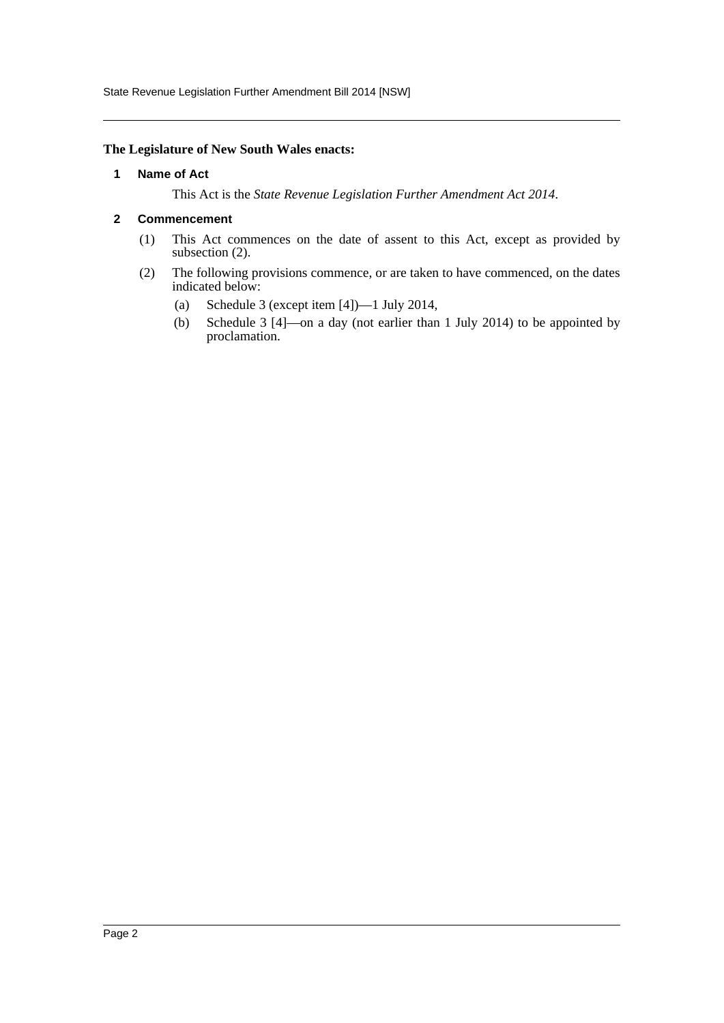State Revenue Legislation Further Amendment Bill 2014 [NSW]

#### <span id="page-2-0"></span>**The Legislature of New South Wales enacts:**

#### **1 Name of Act**

This Act is the *State Revenue Legislation Further Amendment Act 2014*.

#### <span id="page-2-1"></span>**2 Commencement**

- (1) This Act commences on the date of assent to this Act, except as provided by subsection (2).
- (2) The following provisions commence, or are taken to have commenced, on the dates indicated below:
	- (a) Schedule 3 (except item [4])—1 July 2014,
	- (b) Schedule 3 [4]—on a day (not earlier than 1 July 2014) to be appointed by proclamation.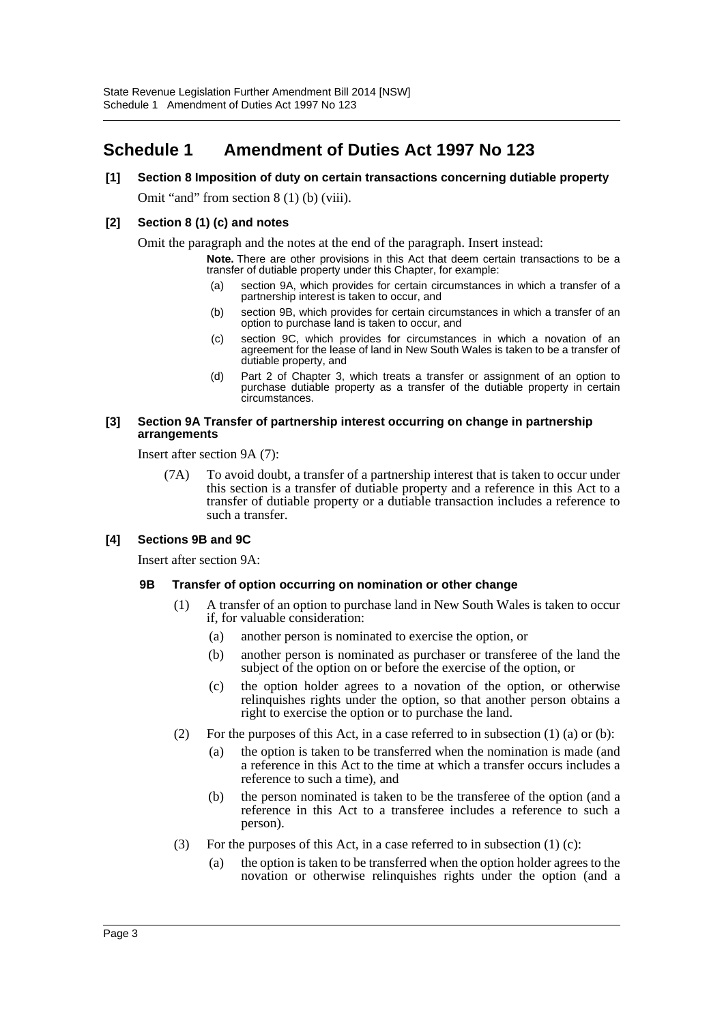# <span id="page-3-0"></span>**Schedule 1 Amendment of Duties Act 1997 No 123**

# **[1] Section 8 Imposition of duty on certain transactions concerning dutiable property** Omit "and" from section 8 (1) (b) (viii).

## **[2] Section 8 (1) (c) and notes**

Omit the paragraph and the notes at the end of the paragraph. Insert instead:

**Note.** There are other provisions in this Act that deem certain transactions to be a transfer of dutiable property under this Chapter, for example:

- (a) section 9A, which provides for certain circumstances in which a transfer of a partnership interest is taken to occur, and
- (b) section 9B, which provides for certain circumstances in which a transfer of an option to purchase land is taken to occur, and
- (c) section 9C, which provides for circumstances in which a novation of an agreement for the lease of land in New South Wales is taken to be a transfer of dutiable property, and
- (d) Part 2 of Chapter 3, which treats a transfer or assignment of an option to purchase dutiable property as a transfer of the dutiable property in certain circumstances.

#### **[3] Section 9A Transfer of partnership interest occurring on change in partnership arrangements**

Insert after section 9A (7):

(7A) To avoid doubt, a transfer of a partnership interest that is taken to occur under this section is a transfer of dutiable property and a reference in this Act to a transfer of dutiable property or a dutiable transaction includes a reference to such a transfer.

# **[4] Sections 9B and 9C**

Insert after section 9A:

## **9B Transfer of option occurring on nomination or other change**

- (1) A transfer of an option to purchase land in New South Wales is taken to occur if, for valuable consideration:
	- (a) another person is nominated to exercise the option, or
	- (b) another person is nominated as purchaser or transferee of the land the subject of the option on or before the exercise of the option, or
	- (c) the option holder agrees to a novation of the option, or otherwise relinquishes rights under the option, so that another person obtains a right to exercise the option or to purchase the land.
- (2) For the purposes of this Act, in a case referred to in subsection  $(1)$  (a) or (b):
	- (a) the option is taken to be transferred when the nomination is made (and a reference in this Act to the time at which a transfer occurs includes a reference to such a time), and
	- (b) the person nominated is taken to be the transferee of the option (and a reference in this Act to a transferee includes a reference to such a person).
- (3) For the purposes of this Act, in a case referred to in subsection  $(1)$  (c):
	- (a) the option is taken to be transferred when the option holder agrees to the novation or otherwise relinquishes rights under the option (and a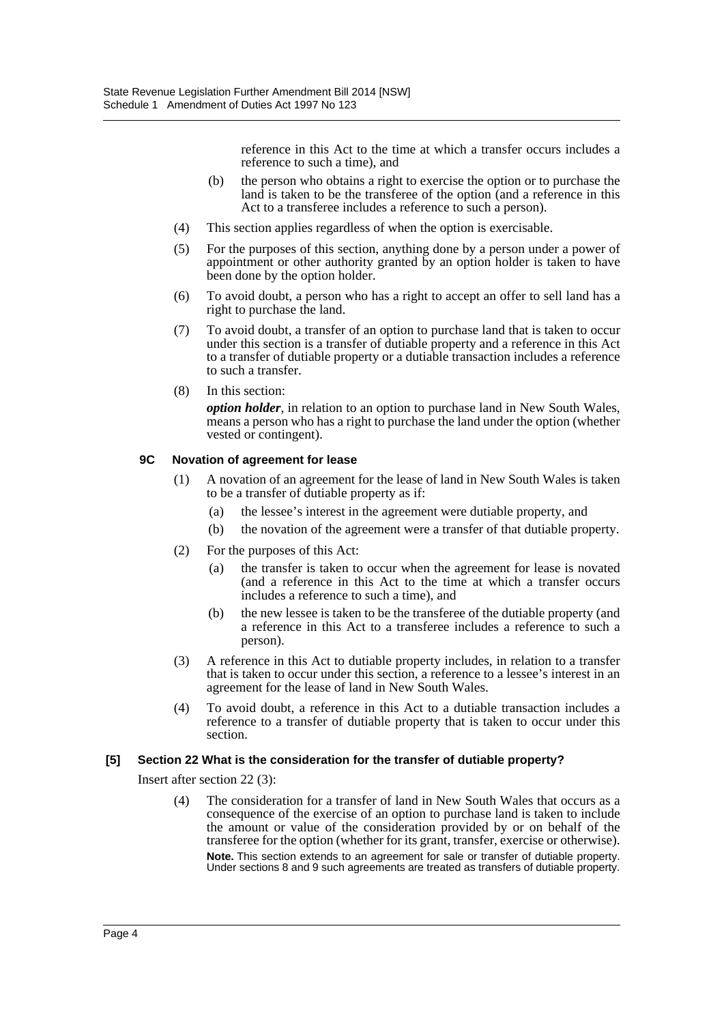reference in this Act to the time at which a transfer occurs includes a reference to such a time), and

- (b) the person who obtains a right to exercise the option or to purchase the land is taken to be the transferee of the option (and a reference in this Act to a transferee includes a reference to such a person).
- (4) This section applies regardless of when the option is exercisable.
- (5) For the purposes of this section, anything done by a person under a power of appointment or other authority granted by an option holder is taken to have been done by the option holder.
- (6) To avoid doubt, a person who has a right to accept an offer to sell land has a right to purchase the land.
- (7) To avoid doubt, a transfer of an option to purchase land that is taken to occur under this section is a transfer of dutiable property and a reference in this Act to a transfer of dutiable property or a dutiable transaction includes a reference to such a transfer.
- (8) In this section:

*option holder*, in relation to an option to purchase land in New South Wales, means a person who has a right to purchase the land under the option (whether vested or contingent).

## **9C Novation of agreement for lease**

- (1) A novation of an agreement for the lease of land in New South Wales is taken to be a transfer of dutiable property as if:
	- (a) the lessee's interest in the agreement were dutiable property, and
	- (b) the novation of the agreement were a transfer of that dutiable property.
- (2) For the purposes of this Act:
	- (a) the transfer is taken to occur when the agreement for lease is novated (and a reference in this Act to the time at which a transfer occurs includes a reference to such a time), and
	- (b) the new lessee is taken to be the transferee of the dutiable property (and a reference in this Act to a transferee includes a reference to such a person).
- (3) A reference in this Act to dutiable property includes, in relation to a transfer that is taken to occur under this section, a reference to a lessee's interest in an agreement for the lease of land in New South Wales.
- (4) To avoid doubt, a reference in this Act to a dutiable transaction includes a reference to a transfer of dutiable property that is taken to occur under this section.

## **[5] Section 22 What is the consideration for the transfer of dutiable property?**

Insert after section 22 (3):

(4) The consideration for a transfer of land in New South Wales that occurs as a consequence of the exercise of an option to purchase land is taken to include the amount or value of the consideration provided by or on behalf of the transferee for the option (whether for its grant, transfer, exercise or otherwise). **Note.** This section extends to an agreement for sale or transfer of dutiable property. Under sections 8 and 9 such agreements are treated as transfers of dutiable property.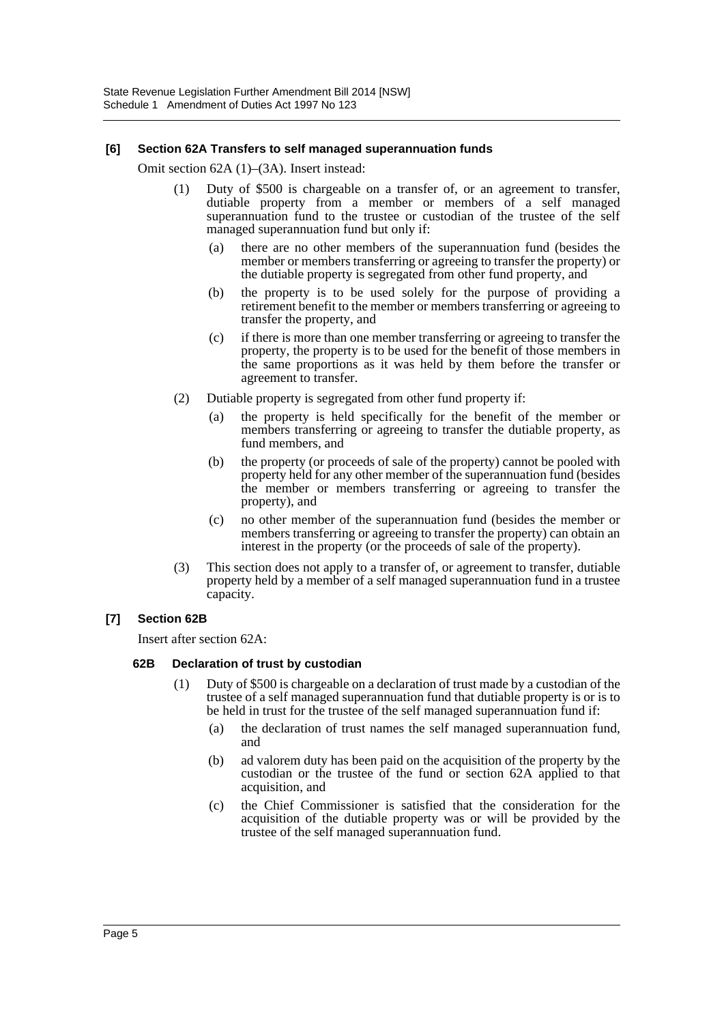## **[6] Section 62A Transfers to self managed superannuation funds**

Omit section 62A (1)–(3A). Insert instead:

- (1) Duty of \$500 is chargeable on a transfer of, or an agreement to transfer, dutiable property from a member or members of a self managed superannuation fund to the trustee or custodian of the trustee of the self managed superannuation fund but only if:
	- (a) there are no other members of the superannuation fund (besides the member or members transferring or agreeing to transfer the property) or the dutiable property is segregated from other fund property, and
	- (b) the property is to be used solely for the purpose of providing a retirement benefit to the member or members transferring or agreeing to transfer the property, and
	- (c) if there is more than one member transferring or agreeing to transfer the property, the property is to be used for the benefit of those members in the same proportions as it was held by them before the transfer or agreement to transfer.
- (2) Dutiable property is segregated from other fund property if:
	- (a) the property is held specifically for the benefit of the member or members transferring or agreeing to transfer the dutiable property, as fund members, and
	- (b) the property (or proceeds of sale of the property) cannot be pooled with property held for any other member of the superannuation fund (besides the member or members transferring or agreeing to transfer the property), and
	- (c) no other member of the superannuation fund (besides the member or members transferring or agreeing to transfer the property) can obtain an interest in the property (or the proceeds of sale of the property).
- (3) This section does not apply to a transfer of, or agreement to transfer, dutiable property held by a member of a self managed superannuation fund in a trustee capacity.

## **[7] Section 62B**

Insert after section 62A:

## **62B Declaration of trust by custodian**

- (1) Duty of \$500 is chargeable on a declaration of trust made by a custodian of the trustee of a self managed superannuation fund that dutiable property is or is to be held in trust for the trustee of the self managed superannuation fund if:
	- (a) the declaration of trust names the self managed superannuation fund, and
	- (b) ad valorem duty has been paid on the acquisition of the property by the custodian or the trustee of the fund or section 62A applied to that acquisition, and
	- (c) the Chief Commissioner is satisfied that the consideration for the acquisition of the dutiable property was or will be provided by the trustee of the self managed superannuation fund.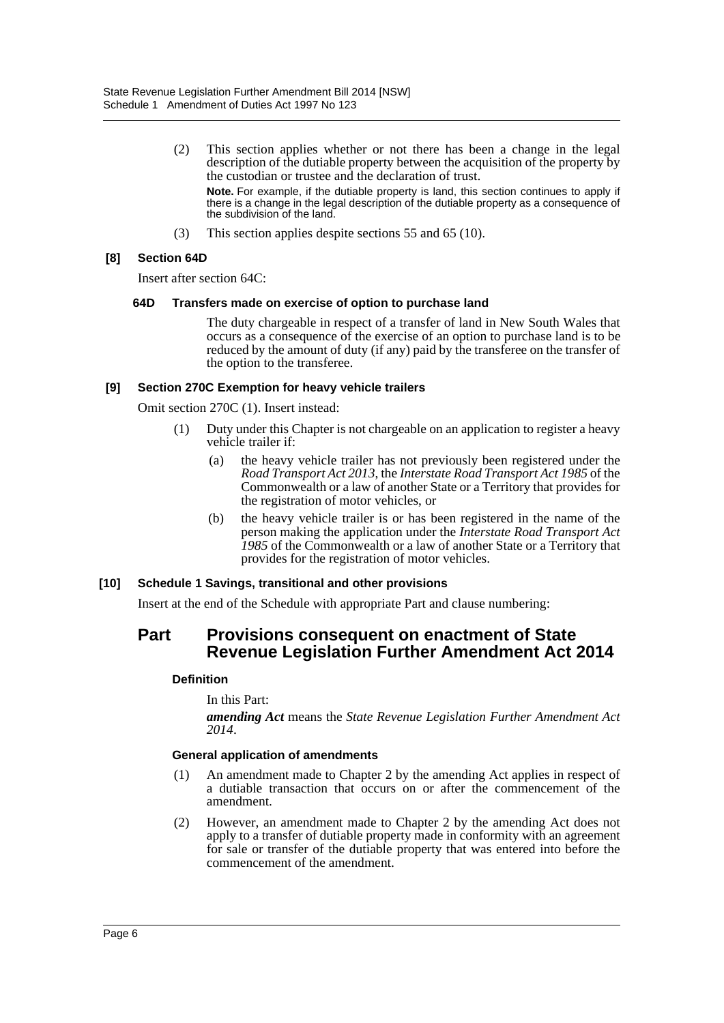(2) This section applies whether or not there has been a change in the legal description of the dutiable property between the acquisition of the property by the custodian or trustee and the declaration of trust.

**Note.** For example, if the dutiable property is land, this section continues to apply if there is a change in the legal description of the dutiable property as a consequence of the subdivision of the land.

(3) This section applies despite sections 55 and 65 (10).

# **[8] Section 64D**

Insert after section 64C:

## **64D Transfers made on exercise of option to purchase land**

The duty chargeable in respect of a transfer of land in New South Wales that occurs as a consequence of the exercise of an option to purchase land is to be reduced by the amount of duty (if any) paid by the transferee on the transfer of the option to the transferee.

#### **[9] Section 270C Exemption for heavy vehicle trailers**

Omit section 270C (1). Insert instead:

- (1) Duty under this Chapter is not chargeable on an application to register a heavy vehicle trailer if:
	- (a) the heavy vehicle trailer has not previously been registered under the *Road Transport Act 2013*, the *Interstate Road Transport Act 1985* of the Commonwealth or a law of another State or a Territory that provides for the registration of motor vehicles, or
	- (b) the heavy vehicle trailer is or has been registered in the name of the person making the application under the *Interstate Road Transport Act 1985* of the Commonwealth or a law of another State or a Territory that provides for the registration of motor vehicles.

## **[10] Schedule 1 Savings, transitional and other provisions**

Insert at the end of the Schedule with appropriate Part and clause numbering:

# **Part Provisions consequent on enactment of State Revenue Legislation Further Amendment Act 2014**

## **Definition**

In this Part:

*amending Act* means the *State Revenue Legislation Further Amendment Act 2014*.

## **General application of amendments**

- (1) An amendment made to Chapter 2 by the amending Act applies in respect of a dutiable transaction that occurs on or after the commencement of the amendment.
- (2) However, an amendment made to Chapter 2 by the amending Act does not apply to a transfer of dutiable property made in conformity with an agreement for sale or transfer of the dutiable property that was entered into before the commencement of the amendment.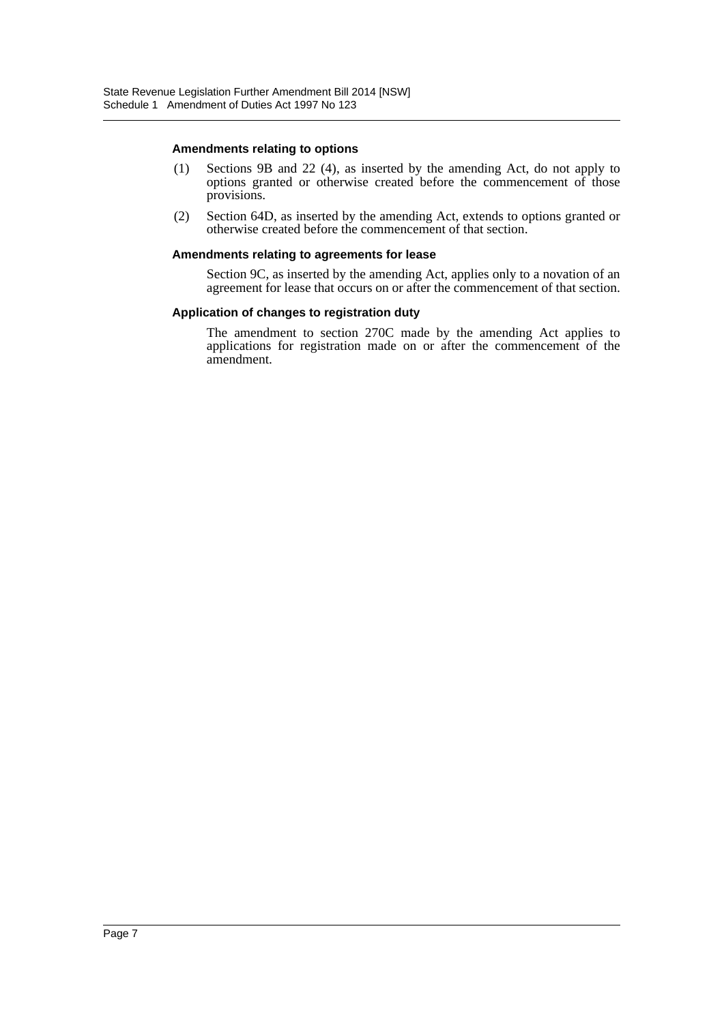#### **Amendments relating to options**

- (1) Sections 9B and 22 (4), as inserted by the amending Act, do not apply to options granted or otherwise created before the commencement of those provisions.
- (2) Section 64D, as inserted by the amending Act, extends to options granted or otherwise created before the commencement of that section.

#### **Amendments relating to agreements for lease**

Section 9C, as inserted by the amending Act, applies only to a novation of an agreement for lease that occurs on or after the commencement of that section.

#### **Application of changes to registration duty**

The amendment to section 270C made by the amending Act applies to applications for registration made on or after the commencement of the amendment.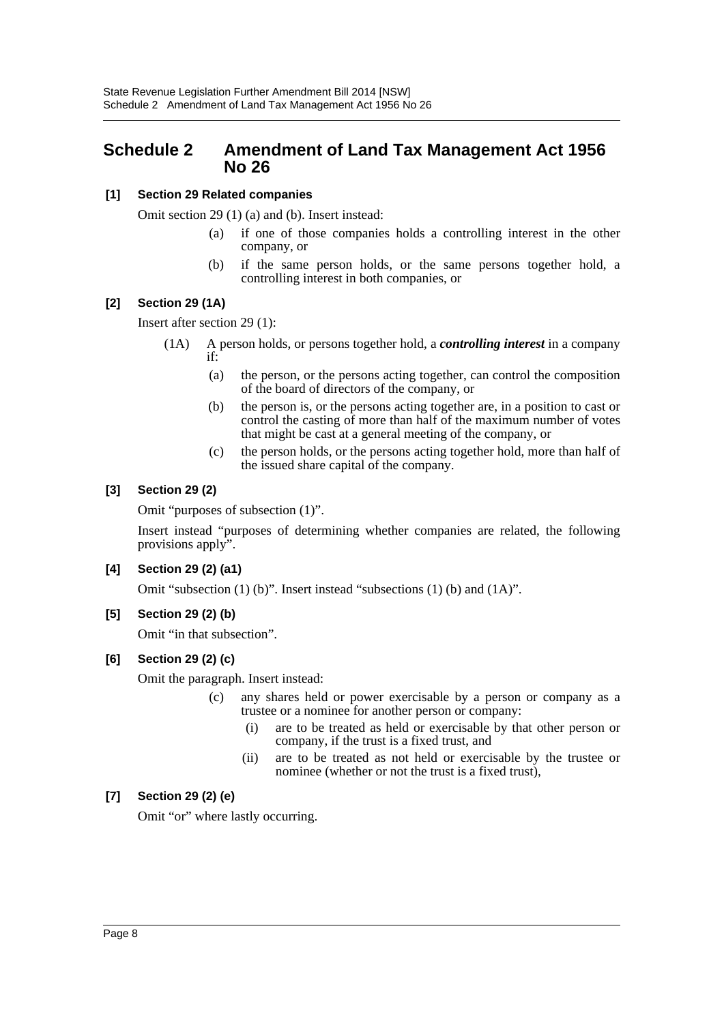# <span id="page-8-0"></span>**Schedule 2 Amendment of Land Tax Management Act 1956 No 26**

# **[1] Section 29 Related companies**

Omit section 29 (1) (a) and (b). Insert instead:

- (a) if one of those companies holds a controlling interest in the other company, or
- (b) if the same person holds, or the same persons together hold, a controlling interest in both companies, or

# **[2] Section 29 (1A)**

Insert after section 29 (1):

- (1A) A person holds, or persons together hold, a *controlling interest* in a company if:
	- (a) the person, or the persons acting together, can control the composition of the board of directors of the company, or
	- (b) the person is, or the persons acting together are, in a position to cast or control the casting of more than half of the maximum number of votes that might be cast at a general meeting of the company, or
	- (c) the person holds, or the persons acting together hold, more than half of the issued share capital of the company.

# **[3] Section 29 (2)**

Omit "purposes of subsection (1)".

Insert instead "purposes of determining whether companies are related, the following provisions apply".

# **[4] Section 29 (2) (a1)**

Omit "subsection (1) (b)". Insert instead "subsections (1) (b) and (1A)".

# **[5] Section 29 (2) (b)**

Omit "in that subsection".

# **[6] Section 29 (2) (c)**

Omit the paragraph. Insert instead:

- (c) any shares held or power exercisable by a person or company as a trustee or a nominee for another person or company:
	- (i) are to be treated as held or exercisable by that other person or company, if the trust is a fixed trust, and
	- (ii) are to be treated as not held or exercisable by the trustee or nominee (whether or not the trust is a fixed trust),

# **[7] Section 29 (2) (e)**

Omit "or" where lastly occurring.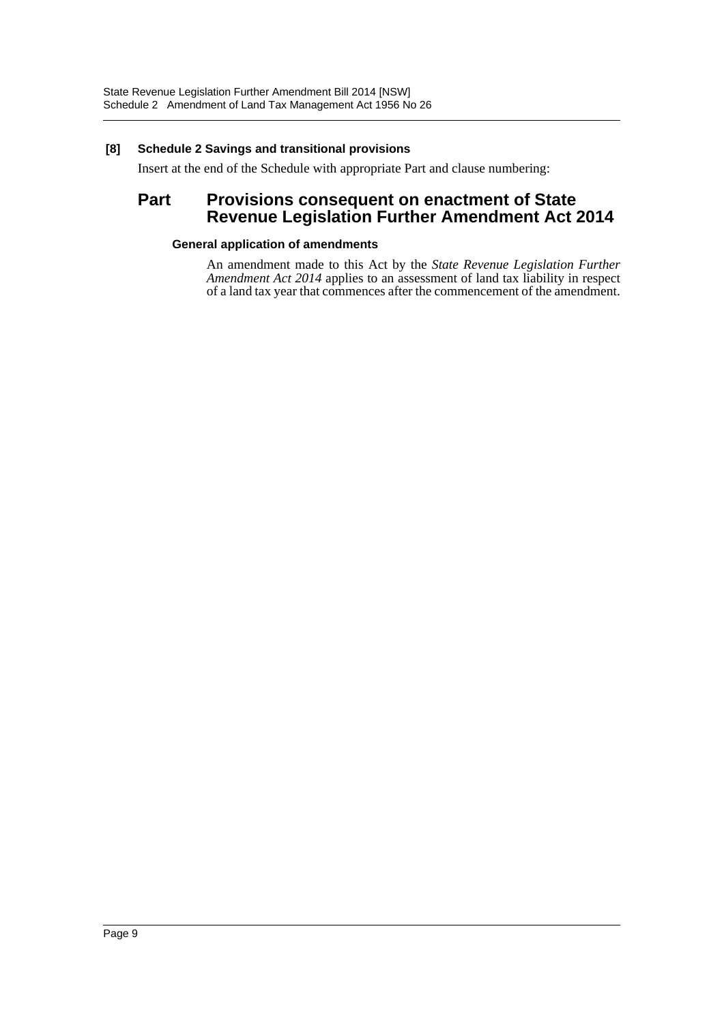# **[8] Schedule 2 Savings and transitional provisions**

Insert at the end of the Schedule with appropriate Part and clause numbering:

# **Part Provisions consequent on enactment of State Revenue Legislation Further Amendment Act 2014**

## **General application of amendments**

An amendment made to this Act by the *State Revenue Legislation Further Amendment Act 2014* applies to an assessment of land tax liability in respect of a land tax year that commences after the commencement of the amendment.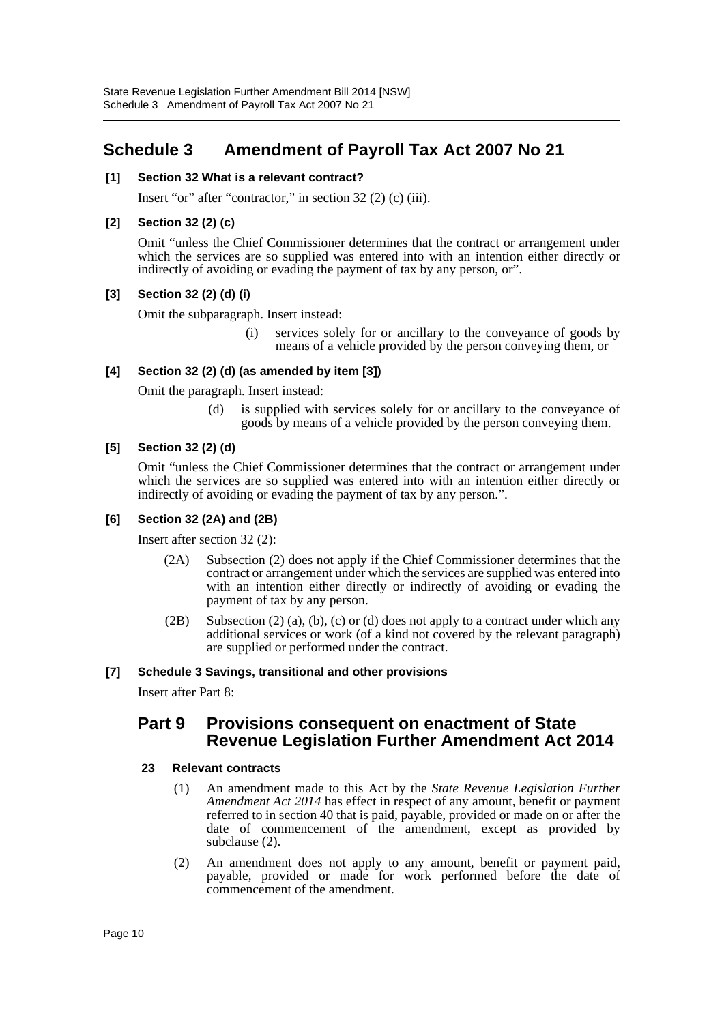# <span id="page-10-0"></span>**Schedule 3 Amendment of Payroll Tax Act 2007 No 21**

# **[1] Section 32 What is a relevant contract?**

Insert "or" after "contractor," in section 32 (2) (c) (iii).

# **[2] Section 32 (2) (c)**

Omit "unless the Chief Commissioner determines that the contract or arrangement under which the services are so supplied was entered into with an intention either directly or indirectly of avoiding or evading the payment of tax by any person, or".

# **[3] Section 32 (2) (d) (i)**

Omit the subparagraph. Insert instead:

(i) services solely for or ancillary to the conveyance of goods by means of a vehicle provided by the person conveying them, or

# **[4] Section 32 (2) (d) (as amended by item [3])**

Omit the paragraph. Insert instead:

(d) is supplied with services solely for or ancillary to the conveyance of goods by means of a vehicle provided by the person conveying them.

# **[5] Section 32 (2) (d)**

Omit "unless the Chief Commissioner determines that the contract or arrangement under which the services are so supplied was entered into with an intention either directly or indirectly of avoiding or evading the payment of tax by any person.".

## **[6] Section 32 (2A) and (2B)**

Insert after section 32 (2):

- (2A) Subsection (2) does not apply if the Chief Commissioner determines that the contract or arrangement under which the services are supplied was entered into with an intention either directly or indirectly of avoiding or evading the payment of tax by any person.
- $(2B)$  Subsection  $(2)$  (a), (b), (c) or (d) does not apply to a contract under which any additional services or work (of a kind not covered by the relevant paragraph) are supplied or performed under the contract.

## **[7] Schedule 3 Savings, transitional and other provisions**

Insert after Part 8:

# **Part 9 Provisions consequent on enactment of State Revenue Legislation Further Amendment Act 2014**

## **23 Relevant contracts**

- (1) An amendment made to this Act by the *State Revenue Legislation Further Amendment Act 2014* has effect in respect of any amount, benefit or payment referred to in section 40 that is paid, payable, provided or made on or after the date of commencement of the amendment, except as provided by subclause (2).
- (2) An amendment does not apply to any amount, benefit or payment paid, payable, provided or made for work performed before the date of commencement of the amendment.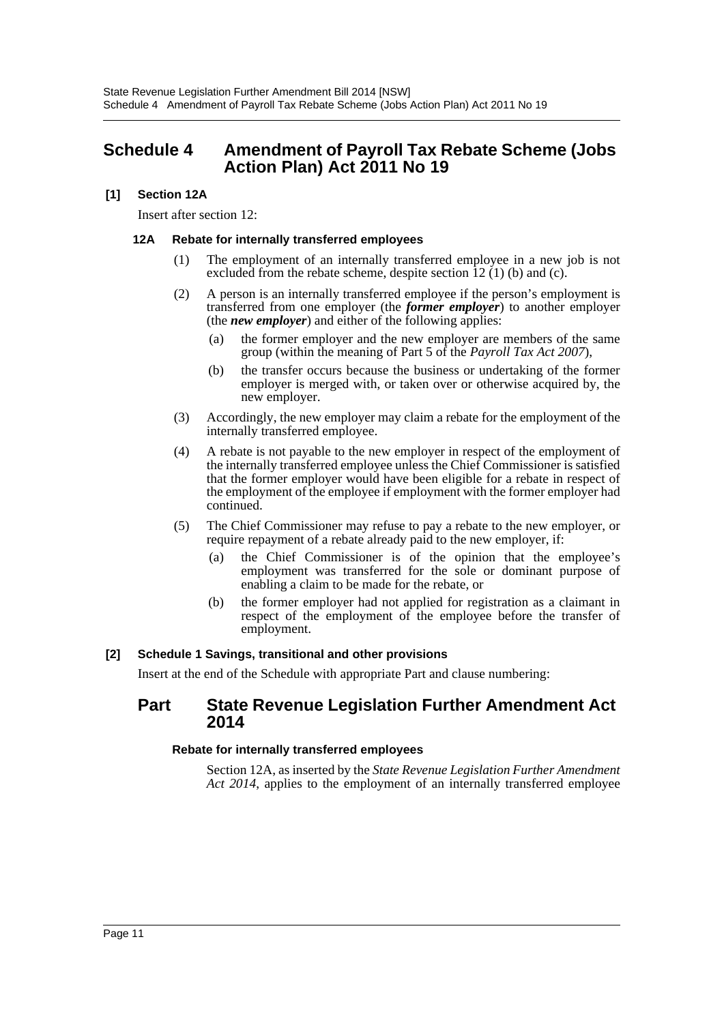# <span id="page-11-0"></span>**Schedule 4 Amendment of Payroll Tax Rebate Scheme (Jobs Action Plan) Act 2011 No 19**

# **[1] Section 12A**

Insert after section 12:

## **12A Rebate for internally transferred employees**

- (1) The employment of an internally transferred employee in a new job is not excluded from the rebate scheme, despite section  $\hat{12}(1)$  (b) and (c).
- (2) A person is an internally transferred employee if the person's employment is transferred from one employer (the *former employer*) to another employer (the *new employer*) and either of the following applies:
	- (a) the former employer and the new employer are members of the same group (within the meaning of Part 5 of the *Payroll Tax Act 2007*),
	- (b) the transfer occurs because the business or undertaking of the former employer is merged with, or taken over or otherwise acquired by, the new employer.
- (3) Accordingly, the new employer may claim a rebate for the employment of the internally transferred employee.
- (4) A rebate is not payable to the new employer in respect of the employment of the internally transferred employee unless the Chief Commissioner is satisfied that the former employer would have been eligible for a rebate in respect of the employment of the employee if employment with the former employer had continued.
- (5) The Chief Commissioner may refuse to pay a rebate to the new employer, or require repayment of a rebate already paid to the new employer, if:
	- (a) the Chief Commissioner is of the opinion that the employee's employment was transferred for the sole or dominant purpose of enabling a claim to be made for the rebate, or
	- (b) the former employer had not applied for registration as a claimant in respect of the employment of the employee before the transfer of employment.

## **[2] Schedule 1 Savings, transitional and other provisions**

Insert at the end of the Schedule with appropriate Part and clause numbering:

# **Part State Revenue Legislation Further Amendment Act 2014**

## **Rebate for internally transferred employees**

Section 12A, as inserted by the *State Revenue Legislation Further Amendment Act 2014*, applies to the employment of an internally transferred employee